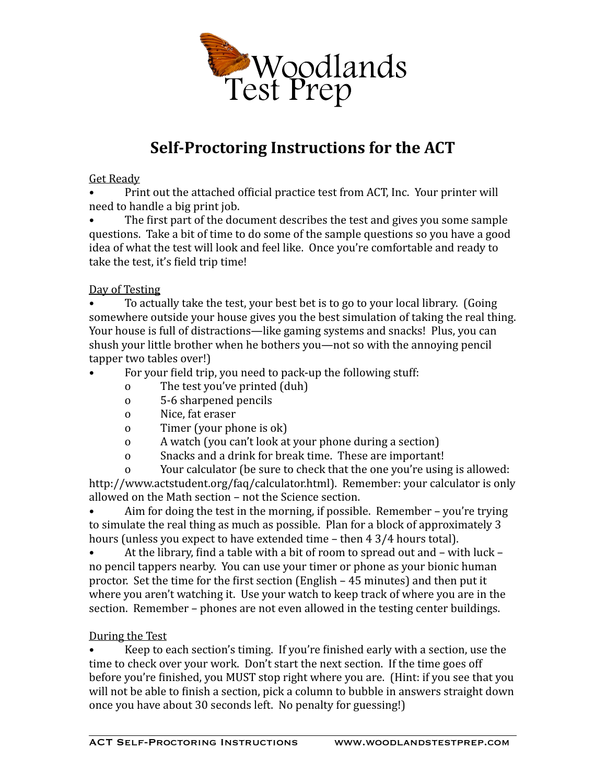

# **Self-Proctoring Instructions for the ACT**

# **Get Ready**

Print out the attached official practice test from ACT, Inc. Your printer will need to handle a big print job.

The first part of the document describes the test and gives you some sample questions. Take a bit of time to do some of the sample questions so you have a good idea of what the test will look and feel like. Once you're comfortable and ready to take the test, it's field trip time!

# Day of Testing

To actually take the test, your best bet is to go to your local library. (Going somewhere outside your house gives you the best simulation of taking the real thing. Your house is full of distractions—like gaming systems and snacks! Plus, you can shush your little brother when he bothers you—not so with the annoying pencil tapper two tables over!)

- For your field trip, you need to pack-up the following stuff:
	- o The test you've printed (duh)
	- o 5-6 sharpened pencils
	- o Nice, fat eraser
	- o Timer (your phone is ok)
	- o A watch (you can't look at your phone during a section)
	- o Snacks and a drink for break time. These are important!

o Sour calculator (be sure to check that the one you're using is allowed: http://www.actstudent.org/faq/calculator.html). Remember: your calculator is only allowed on the Math section – not the Science section.

Aim for doing the test in the morning, if possible. Remember  $-$  you're trying to simulate the real thing as much as possible. Plan for a block of approximately 3 hours (unless you expect to have extended time  $-$  then  $4\frac{3}{4}$  hours total).

• At the library, find a table with a bit of room to spread out and – with luck – no pencil tappers nearby. You can use your timer or phone as your bionic human proctor. Set the time for the first section  $(English - 45 minutes)$  and then put it where you aren't watching it. Use your watch to keep track of where you are in the section. Remember – phones are not even allowed in the testing center buildings.

#### During the Test

Keep to each section's timing. If you're finished early with a section, use the time to check over your work. Don't start the next section. If the time goes off before you're finished, you MUST stop right where you are. (Hint: if you see that you will not be able to finish a section, pick a column to bubble in answers straight down once you have about 30 seconds left. No penalty for guessing!)